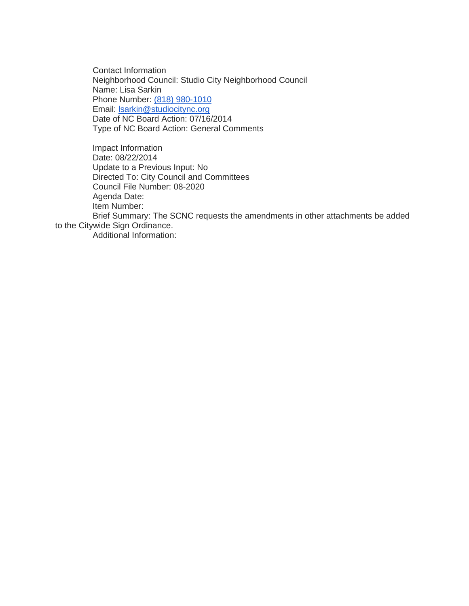Contact Information Neighborhood Council: Studio City Neighborhood Council Name: Lisa Sarkin Phone Number: [\(818\) 980-1010](tel:%28818%29%20980-1010) Email: [lsarkin@studiocitync.org](mailto:lsarkin@studiocitync.org) Date of NC Board Action: 07/16/2014 Type of NC Board Action: General Comments

Impact Information Date: 08/22/2014 Update to a Previous Input: No Directed To: City Council and Committees Council File Number: 08-2020 Agenda Date: Item Number:

Brief Summary: The SCNC requests the amendments in other attachments be added to the Citywide Sign Ordinance.

Additional Information: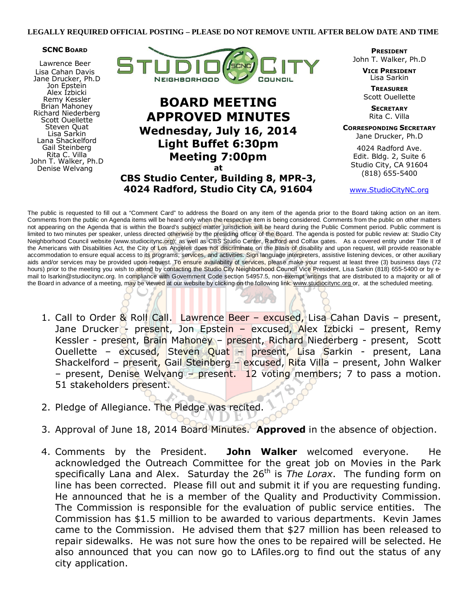#### **SCNC BOARD**

Lawrence Beer Lisa Cahan Davis Jane Drucker, Ph.D Jon Epstein Alex Izbicki Remy Kessler Brian Mahoney Richard Niederberg Scott Ouellette Steven Quat Lisa Sarkin Lana Shackelford Gail Steinberg Rita C. Villa John T. Walker, Ph.D Denise Welvang



# BOARD MEETING APPROVED MINUTES Wednesday, July 16, 2014 Light Buffet 6:30pm Meeting 7:00pm at

CBS Studio Center, Building 8, MPR-3, 4024 Radford, Studio City CA, 91604

PRESIDENT John T. Walker, Ph.D

> VICE PRESIDENT Lisa Sarkin

**TREASURER** Scott Ouellette

> **SECRETARY** Rita C. Villa

CORRESPONDING SECRETARY Jane Drucker, Ph.D

4024 Radford Ave. Edit. Bldg. 2, Suite 6 Studio City, CA 91604 (818) 655-5400

www.StudioCityNC.org

The public is requested to fill out a "Comment Card" to address the Board on any item of the agenda prior to the Board taking action on an item. Comments from the public on Agenda items will be heard only when the respective item is being considered. Comments from the public on other matters not appearing on the Agenda that is within the Board's subject matter jurisdiction will be heard during the Public Comment period. Public comment is limited to two minutes per speaker, unless directed otherwise by the presiding officer of the Board. The agenda is posted for public review at: Studio City Neighborhood Council website (www.studiocitync.org); as well as CBS Studio Center, Radford and Colfax gates. As a covered entity under Title II of the Americans with Disabilities Act, the City of Los Angeles does not discriminate on the basis of disability and upon request, will provide reasonable accommodation to ensure equal access to its programs, services, and activities. Sign language interpreters, assistive listening devices, or other auxiliary aids and/or services may be provided upon request. To ensure availability of services, please make your request at least three (3) business days (72 hours) prior to the meeting you wish to attend by contacting the Studio City Neighborhood Council Vice President, Lisa Sarkin (818) 655-5400 or by email to lsarkin@studiocitync.org. In compliance with Government Code section 54957.5, non-exempt writings that are distributed to a majority or all of the Board in advance of a meeting, may be viewed at our website by clicking on the following link: www.studiocitync.org or, at the scheduled meeting.

- 1. Call to Order & Roll Call. Lawrence Beer excused, Lisa Cahan Davis present, Jane Drucker - present, Jon Epstein - excused, Alex Izbicki - present, Remy Kessler - present, Brain Mahoney – present, Richard Niederberg - present, Scott Ouellette – excused, Steven Quat – present, Lisa Sarkin - present, Lana Shackelford – present, Gail Steinberg – excused, Rita Villa – present, John Walker – present, Denise Welvang – present. 12 voting members; 7 to pass a motion. 51 stakeholders present.
- 2. Pledge of Allegiance. The Pledge was recited.
- 3. Approval of June 18, 2014 Board Minutes. Approved in the absence of objection.
- 4. Comments by the President. John Walker welcomed everyone. He acknowledged the Outreach Committee for the great job on Movies in the Park specifically Lana and Alex. Saturday the  $26<sup>th</sup>$  is The Lorax. The funding form on line has been corrected. Please fill out and submit it if you are requesting funding. He announced that he is a member of the Quality and Productivity Commission. The Commission is responsible for the evaluation of public service entities. The Commission has \$1.5 million to be awarded to various departments. Kevin James came to the Commission. He advised them that \$27 million has been released to repair sidewalks. He was not sure how the ones to be repaired will be selected. He also announced that you can now go to LAfiles.org to find out the status of any city application.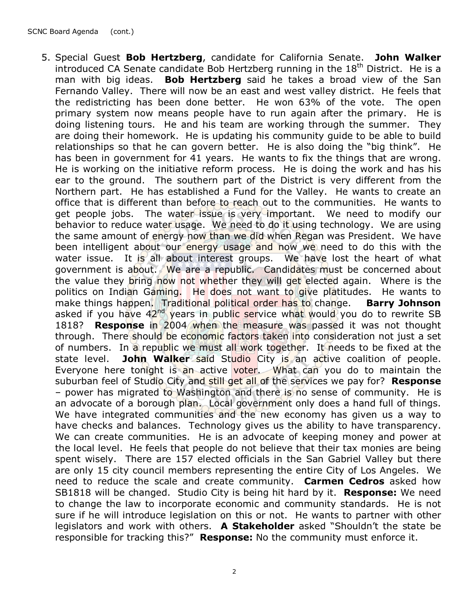5. Special Guest Bob Hertzberg, candidate for California Senate. John Walker introduced CA Senate candidate Bob Hertzberg running in the  $18<sup>th</sup>$  District. He is a man with big ideas. **Bob Hertzberg** said he takes a broad view of the San Fernando Valley. There will now be an east and west valley district. He feels that the redistricting has been done better. He won 63% of the vote. The open primary system now means people have to run again after the primary. He is doing listening tours. He and his team are working through the summer. They are doing their homework. He is updating his community guide to be able to build relationships so that he can govern better. He is also doing the "big think". He has been in government for 41 years. He wants to fix the things that are wrong. He is working on the initiative reform process. He is doing the work and has his ear to the ground. The southern part of the District is very different from the Northern part. He has established a Fund for the Valley. He wants to create an office that is different than before to reach out to the communities. He wants to get people jobs. The water issue is very important. We need to modify our behavior to reduce water usage. We need to do it using technology. We are using the same amount of energy now than we did when Regan was President. We have been intelligent about our energy usage and now we need to do this with the water issue. It is all about interest groups. We have lost the heart of what government is about. We are a republic. Candidates must be concerned about the value they bring now not whether they will get elected again. Where is the politics on Indian Gaming. He does not want to give platitudes. He wants to make things happen. Traditional political order has to change. Barry Johnson asked if you have 42<sup>nd</sup> years in public service what would you do to rewrite SB 1818? **Response** in 2004 when the measure was passed it was not thought through. There should be economic factors taken into consideration not just a set of numbers. In a republic we must all work together. It needs to be fixed at the state level. John Walker said Studio City is an active coalition of people. Everyone here tonight is an active voter. What can you do to maintain the suburban feel of Studio City and still get all of the services we pay for? **Response** – power has migrated to Washington and there is no sense of community. He is an advocate of a borough plan. Local government only does a hand full of things. We have integrated communities and the new economy has given us a way to have checks and balances. Technology gives us the ability to have transparency. We can create communities. He is an advocate of keeping money and power at the local level. He feels that people do not believe that their tax monies are being spent wisely. There are 157 elected officials in the San Gabriel Valley but there are only 15 city council members representing the entire City of Los Angeles. We need to reduce the scale and create community. Carmen Cedros asked how SB1818 will be changed. Studio City is being hit hard by it. Response: We need to change the law to incorporate economic and community standards. He is not sure if he will introduce legislation on this or not. He wants to partner with other legislators and work with others. A Stakeholder asked "Shouldn't the state be responsible for tracking this?" Response: No the community must enforce it.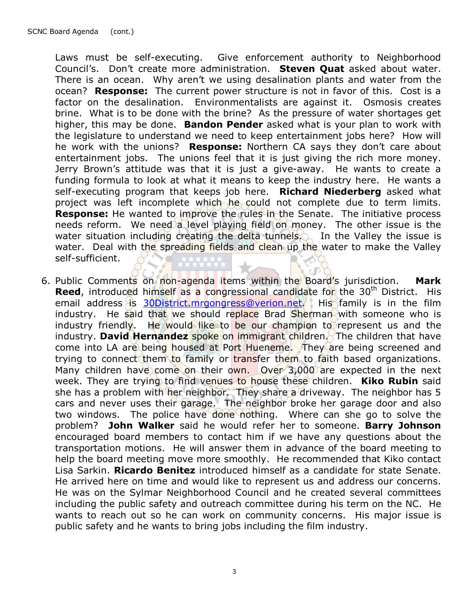Laws must be self-executing. Give enforcement authority to Neighborhood Council's. Don't create more administration. Steven Ouat asked about water. There is an ocean. Why aren't we using desalination plants and water from the ocean? **Response:** The current power structure is not in favor of this. Cost is a factor on the desalination. Environmentalists are against it. Osmosis creates brine. What is to be done with the brine? As the pressure of water shortages get higher, this may be done. **Bandon Pender** asked what is your plan to work with the legislature to understand we need to keep entertainment jobs here? How will he work with the unions? Response: Northern CA says they don't care about entertainment jobs. The unions feel that it is just giving the rich more money. Jerry Brown's attitude was that it is just a give-away. He wants to create a funding formula to look at what it means to keep the industry here. He wants a self-executing program that keeps job here. Richard Niederberg asked what project was left incomplete which he could not complete due to term limits. **Response:** He wanted to improve the rules in the Senate. The initiative process needs reform. We need a level playing field on money. The other issue is the water situation including creating the delta tunnels. In the Valley the issue is water. Deal with the spreading fields and clean up the water to make the Valley self-sufficient.

6. Public Comments on non-agenda items within the Board's jurisdiction. Mark **Reed,** introduced himself as a congressional candidate for the 30<sup>th</sup> District. His email address is 30District.mrgongress@verion.net. His family is in the film industry. He said that we should replace Brad Sherman with someone who is industry friendly. He would like to be our champion to represent us and the industry. David Hernandez spoke on immigrant children. The children that have come into LA are being housed at Port Hueneme. They are being screened and trying to connect them to family or transfer them to faith based organizations. Many children have come on their own. Over 3,000 are expected in the next week. They are trying to find venues to house these children. **Kiko Rubin** said she has a problem with her neighbor. They share a driveway. The neighbor has 5 cars and never uses their garage. The neighbor broke her garage door and also two windows. The police have done nothing. Where can she go to solve the problem? John Walker said he would refer her to someone. Barry Johnson encouraged board members to contact him if we have any questions about the transportation motions. He will answer them in advance of the board meeting to help the board meeting move more smoothly. He recommended that Kiko contact Lisa Sarkin. Ricardo Benitez introduced himself as a candidate for state Senate. He arrived here on time and would like to represent us and address our concerns. He was on the Sylmar Neighborhood Council and he created several committees including the public safety and outreach committee during his term on the NC. He wants to reach out so he can work on community concerns. His major issue is public safety and he wants to bring jobs including the film industry.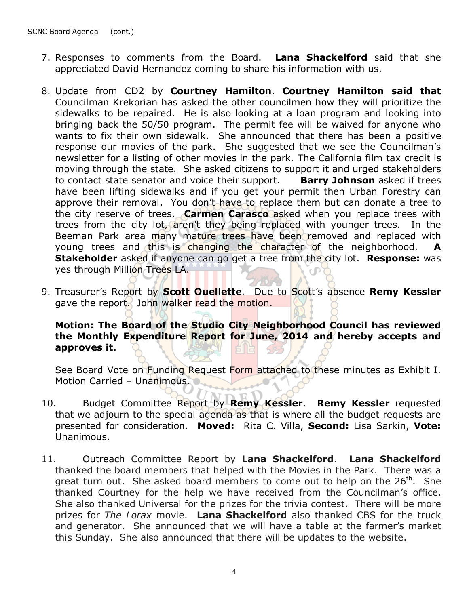- 7. Responses to comments from the Board. Lana Shackelford said that she appreciated David Hernandez coming to share his information with us.
- 8. Update from CD2 by Courtney Hamilton. Courtney Hamilton said that Councilman Krekorian has asked the other councilmen how they will prioritize the sidewalks to be repaired. He is also looking at a loan program and looking into bringing back the 50/50 program. The permit fee will be waived for anyone who wants to fix their own sidewalk. She announced that there has been a positive response our movies of the park. She suggested that we see the Councilman's newsletter for a listing of other movies in the park. The California film tax credit is moving through the state. She asked citizens to support it and urged stakeholders to contact state senator and voice their support. **Barry Johnson** asked if trees have been lifting sidewalks and if you get your permit then Urban Forestry can approve their removal. You don't have to replace them but can donate a tree to the city reserve of trees. Carmen Carasco asked when you replace trees with trees from the city lot, aren't they being replaced with younger trees. In the Beeman Park area many mature trees have been removed and replaced with young trees and this is changing the character of the neighborhood. A **Stakeholder** asked if anyone can go get a tree from the city lot. **Response:** was yes through Million Trees LA.
- 9. Treasurer's Report by **Scott Ouellette**. Due to Scott's absence Remy Kessler gave the report. John walker read the motion.

## Motion: The Board of the Studio City Neighborhood Council has reviewed the Monthly Expenditure Report for June, 2014 and hereby accepts and approves it.

See Board Vote on Funding Request Form attached to these minutes as Exhibit I. Motion Carried - Unanimous.

- 10. Budget Committee Report by Remy Kessler. Remy Kessler requested that we adjourn to the special agenda as that is where all the budget requests are presented for consideration. Moved: Rita C. Villa, Second: Lisa Sarkin, Vote: Unanimous.
- 11. Outreach Committee Report by Lana Shackelford. Lana Shackelford thanked the board members that helped with the Movies in the Park. There was a great turn out. She asked board members to come out to help on the  $26<sup>th</sup>$ . She thanked Courtney for the help we have received from the Councilman's office. She also thanked Universal for the prizes for the trivia contest. There will be more prizes for The Lorax movie. Lana Shackelford also thanked CBS for the truck and generator. She announced that we will have a table at the farmer's market this Sunday. She also announced that there will be updates to the website.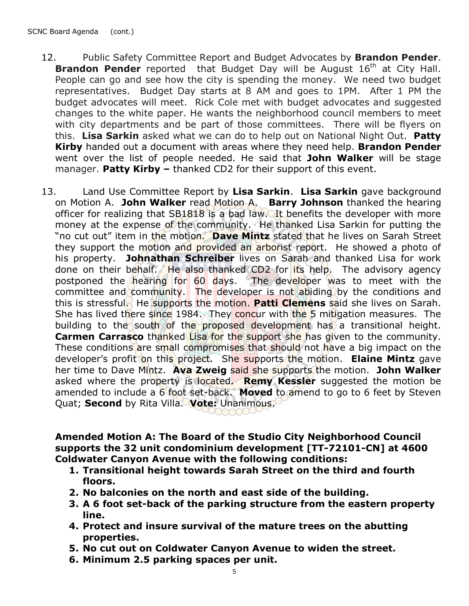- 12. Public Safety Committee Report and Budget Advocates by **Brandon Pender**. **Brandon Pender** reported that Budget Day will be August  $16<sup>th</sup>$  at City Hall. People can go and see how the city is spending the money. We need two budget representatives. Budget Day starts at 8 AM and goes to 1PM. After 1 PM the budget advocates will meet. Rick Cole met with budget advocates and suggested changes to the white paper. He wants the neighborhood council members to meet with city departments and be part of those committees. There will be flyers on this. Lisa Sarkin asked what we can do to help out on National Night Out. Patty Kirby handed out a document with areas where they need help. Brandon Pender went over the list of people needed. He said that John Walker will be stage manager. Patty Kirby  $-$  thanked CD2 for their support of this event.
- 13. Land Use Committee Report by Lisa Sarkin. Lisa Sarkin gave background on Motion A. John Walker read Motion A. Barry Johnson thanked the hearing officer for realizing that SB1818 is a bad law. It benefits the developer with more money at the expense of the community. He thanked Lisa Sarkin for putting the "no cut out" item in the motion. Dave Mintz stated that he lives on Sarah Street they support the motion and provided an arborist report. He showed a photo of his property. Johnathan Schreiber lives on Sarah and thanked Lisa for work done on their behalf. He also thanked CD2 for its help. The advisory agency postponed the hearing for 60 days. The developer was to meet with the committee and community. The developer is not abiding by the conditions and this is stressful. He supports the motion. Patti Clemens said she lives on Sarah. She has lived there since 1984. They concur with the 5 mitigation measures. The building to the south of the proposed development has a transitional height. Carmen Carrasco thanked Lisa for the support she has given to the community. These conditions are small compromises that should not have a big impact on the developer's profit on this project. She supports the motion. Elaine Mintz gave her time to Dave Mintz. Ava Zweig said she supports the motion. John Walker asked where the property is located. Remy Kessler suggested the motion be amended to include a  $6$  foot set-back. Moved to amend to go to 6 feet by Steven Quat; Second by Rita Villa. Vote: Unanimous.

### Amended Motion A: The Board of the Studio City Neighborhood Council supports the 32 unit condominium development [TT-72101-CN] at 4600 Coldwater Canyon Avenue with the following conditions:

- 1. Transitional height towards Sarah Street on the third and fourth floors.
- 2. No balconies on the north and east side of the building.
- 3. A 6 foot set-back of the parking structure from the eastern property line.
- 4. Protect and insure survival of the mature trees on the abutting properties.
- 5. No cut out on Coldwater Canyon Avenue to widen the street.
- 6. Minimum 2.5 parking spaces per unit.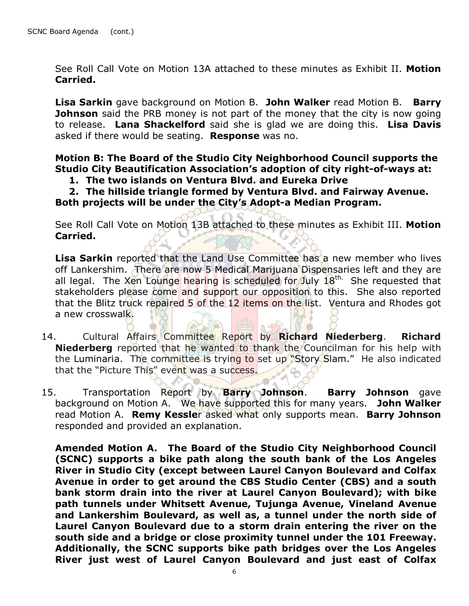See Roll Call Vote on Motion 13A attached to these minutes as Exhibit II. Motion Carried.

Lisa Sarkin gave background on Motion B. John Walker read Motion B. Barry **Johnson** said the PRB money is not part of the money that the city is now going to release. Lana Shackelford said she is glad we are doing this. Lisa Davis asked if there would be seating. **Response** was no.

Motion B: The Board of the Studio City Neighborhood Council supports the Studio City Beautification Association's adoption of city right-of-ways at:

### 1. The two islands on Ventura Blvd. and Eureka Drive

2. The hillside triangle formed by Ventura Blvd. and Fairway Avenue. Both projects will be under the City's Adopt-a Median Program.

See Roll Call Vote on Motion 13B attached to these minutes as Exhibit III. Motion Carried.

Lisa Sarkin reported that the Land Use Committee has a new member who lives off Lankershim. There are now 5 Medical Marijuana Dispensaries left and they are all legal. The Xen Lounge hearing is scheduled for July  $18<sup>th</sup>$ . She requested that stakeholders please come and support our opposition to this. She also reported that the Blitz truck repaired 5 of the 12 items on the list. Ventura and Rhodes got a new crosswalk.

- 14. Cultural Affairs Committee Report by Richard Niederberg. Richard Niederberg reported that he wanted to thank the Councilman for his help with the Luminaria. The committee is trying to set up "Story Slam." He also indicated that the "Picture This" event was a success.
- 15. Transportation Report by Barry Johnson. Barry Johnson gave background on Motion A. We have supported this for many years. John Walker read Motion A. Remy Kessler asked what only supports mean. Barry Johnson responded and provided an explanation.

Amended Motion A. The Board of the Studio City Neighborhood Council (SCNC) supports a bike path along the south bank of the Los Angeles River in Studio City (except between Laurel Canyon Boulevard and Colfax Avenue in order to get around the CBS Studio Center (CBS) and a south bank storm drain into the river at Laurel Canyon Boulevard); with bike path tunnels under Whitsett Avenue, Tujunga Avenue, Vineland Avenue and Lankershim Boulevard, as well as, a tunnel under the north side of Laurel Canyon Boulevard due to a storm drain entering the river on the south side and a bridge or close proximity tunnel under the 101 Freeway. Additionally, the SCNC supports bike path bridges over the Los Angeles River just west of Laurel Canyon Boulevard and just east of Colfax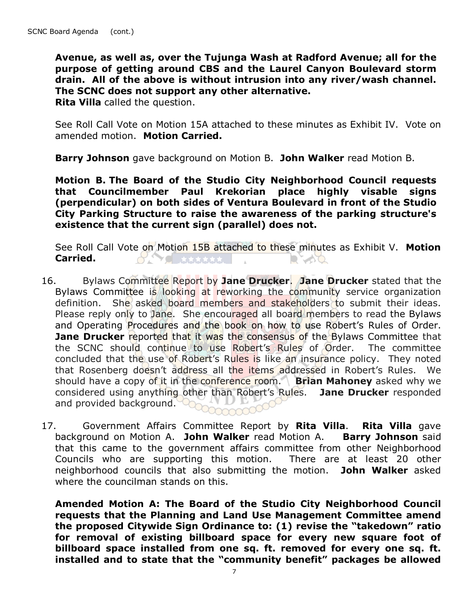Avenue, as well as, over the Tujunga Wash at Radford Avenue; all for the purpose of getting around CBS and the Laurel Canyon Boulevard storm drain. All of the above is without intrusion into any river/wash channel. The SCNC does not support any other alternative.

Rita Villa called the question.

See Roll Call Vote on Motion 15A attached to these minutes as Exhibit IV. Vote on amended motion. Motion Carried.

Barry Johnson gave background on Motion B. John Walker read Motion B.

Motion B. The Board of the Studio City Neighborhood Council requests that Councilmember Paul Krekorian place highly visable signs (perpendicular) on both sides of Ventura Boulevard in front of the Studio City Parking Structure to raise the awareness of the parking structure's existence that the current sign (parallel) does not.

See Roll Call Vote on Motion 15B attached to these minutes as Exhibit V. Motion Carried.  $O(\sum x_i^2)$  $\blacksquare$ 

- 16. Bylaws Committee Report by Jane Drucker. Jane Drucker stated that the Bylaws Committee is looking at reworking the community service organization definition. She asked board members and stakeholders to submit their ideas. Please reply only to Jane. She encouraged all board members to read the Bylaws and Operating Procedures and the book on how to use Robert's Rules of Order. **Jane Drucker reported that it was the consensus of the Bylaws Committee that** the SCNC should continue to use Robert's Rules of Order. The committee concluded that the use of Robert's Rules is like an insurance policy. They noted that Rosenberg doesn't address all the items addressed in Robert's Rules. We should have a copy of it in the conference room. Brian Mahoney asked why we considered using anything other than Robert's Rules. Jane Drucker responded and provided background.  $000000$
- 17. Government Affairs Committee Report by Rita Villa. Rita Villa gave background on Motion A. John Walker read Motion A. Barry Johnson said that this came to the government affairs committee from other Neighborhood Councils who are supporting this motion. There are at least 20 other neighborhood councils that also submitting the motion. John Walker asked where the councilman stands on this.

Amended Motion A: The Board of the Studio City Neighborhood Council requests that the Planning and Land Use Management Committee amend the proposed Citywide Sign Ordinance to: (1) revise the "takedown" ratio for removal of existing billboard space for every new square foot of billboard space installed from one sq. ft. removed for every one sq. ft. installed and to state that the "community benefit" packages be allowed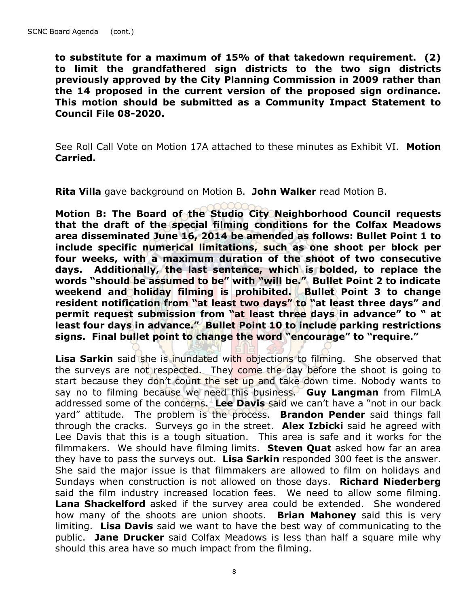to substitute for a maximum of 15% of that takedown requirement. (2) to limit the grandfathered sign districts to the two sign districts previously approved by the City Planning Commission in 2009 rather than the 14 proposed in the current version of the proposed sign ordinance. This motion should be submitted as a Community Impact Statement to Council File 08-2020.

See Roll Call Vote on Motion 17A attached to these minutes as Exhibit VI. Motion Carried.

Rita Villa gave background on Motion B. John Walker read Motion B.

Motion B: The Board of the Studio City Neighborhood Council requests that the draft of the special filming conditions for the Colfax Meadows area disseminated June 16, 2014 be amended as follows: Bullet Point 1 to include specific numerical limitations, such as one shoot per block per four weeks, with a maximum duration of the shoot of two consecutive days. Additionally, the last sentence, which is bolded, to replace the words "should be assumed to be" with "will be." Bullet Point 2 to indicate weekend and holiday filming is prohibited. Bullet Point 3 to change resident notification from "at least two days" to "at least three days" and permit request submission from "at least three days in advance" to " at least four days in advance." Bullet Point 10 to include parking restrictions signs. Final bullet point to change the word "encourage" to "require."

Lisa Sarkin said she is inundated with objections to filming. She observed that the surveys are not respected. They come the day before the shoot is going to start because they don't count the set up and take down time. Nobody wants to say no to filming because we need this business. Guy Langman from FilmLA addressed some of the concerns. Lee Davis said we can't have a "not in our back yard" attitude. The problem is the process. **Brandon Pender** said things fall through the cracks. Surveys go in the street. Alex Izbicki said he agreed with Lee Davis that this is a tough situation. This area is safe and it works for the filmmakers. We should have filming limits. Steven Quat asked how far an area they have to pass the surveys out. Lisa Sarkin responded 300 feet is the answer. She said the major issue is that filmmakers are allowed to film on holidays and Sundays when construction is not allowed on those days. Richard Niederberg said the film industry increased location fees. We need to allow some filming. Lana Shackelford asked if the survey area could be extended. She wondered how many of the shoots are union shoots. **Brian Mahoney** said this is very limiting. Lisa Davis said we want to have the best way of communicating to the public. Jane Drucker said Colfax Meadows is less than half a square mile why should this area have so much impact from the filming.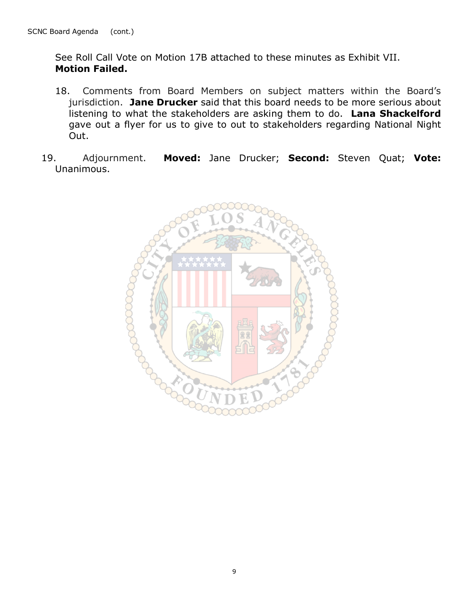See Roll Call Vote on Motion 17B attached to these minutes as Exhibit VII. Motion Failed.

- 18. Comments from Board Members on subject matters within the Board's jurisdiction. Jane Drucker said that this board needs to be more serious about listening to what the stakeholders are asking them to do. Lana Shackelford gave out a flyer for us to give to out to stakeholders regarding National Night Out.
- 19. Adjournment. Moved: Jane Drucker; Second: Steven Quat; Vote: Unanimous.

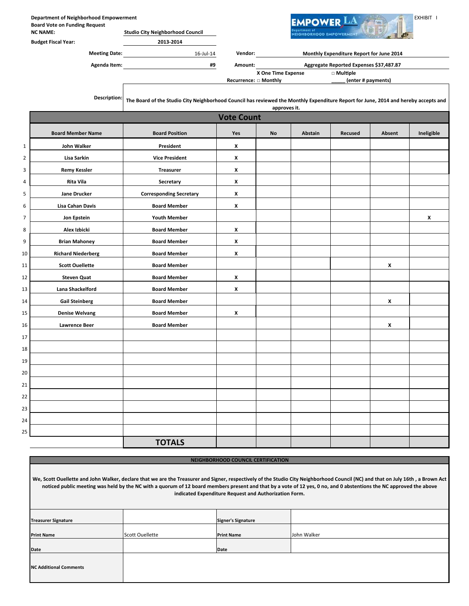|                | <b>Department of Neighborhood Empowerment</b><br><b>Board Vote on Funding Request</b><br><b>NC NAME:</b> | <b>Studio City Neighborhood Council</b>                                                                                             |                              |                    | <b>EMPOWER</b><br><b>NEIGHBORHOOD EMPOWERMENT</b> |                                          |        | EXHIBIT I  |
|----------------|----------------------------------------------------------------------------------------------------------|-------------------------------------------------------------------------------------------------------------------------------------|------------------------------|--------------------|---------------------------------------------------|------------------------------------------|--------|------------|
|                | <b>Budget Fiscal Year:</b>                                                                               | 2013-2014                                                                                                                           |                              |                    |                                                   |                                          |        |            |
|                | <b>Meeting Date:</b>                                                                                     | $16$ -Jul- $14$                                                                                                                     |                              | <b>Vendor:</b>     |                                                   | Monthly Expenditure Report for June 2014 |        |            |
|                | Agenda Item:                                                                                             | #9                                                                                                                                  | Amount:                      |                    |                                                   | Aggregate Reported Expenses \$37,487.87  |        |            |
|                |                                                                                                          |                                                                                                                                     | <b>Recurrence: □ Monthly</b> | X One Time Expense |                                                   | □ Multiple<br>(enter # payments)         |        |            |
|                | Description:                                                                                             | The Board of the Studio City Neighborhood Council has reviewed the Monthly Expenditure Report for June, 2014 and hereby accepts and |                              | approves it.       |                                                   |                                          |        |            |
|                |                                                                                                          |                                                                                                                                     | <b>Vote Count</b>            |                    |                                                   |                                          |        |            |
|                | <b>Board Member Name</b>                                                                                 | <b>Board Position</b>                                                                                                               | <b>Yes</b>                   | No                 | Abstain                                           | <b>Recused</b>                           | Absent | Ineligible |
| $1\,$          | John Walker                                                                                              | President                                                                                                                           | X                            |                    |                                                   |                                          |        |            |
| $\overline{2}$ | Lisa Sarkin                                                                                              | <b>Vice President</b>                                                                                                               | X                            |                    |                                                   |                                          |        |            |
| 3              | <b>Remy Kessler</b>                                                                                      | Treasurer                                                                                                                           | X                            |                    |                                                   |                                          |        |            |
| 4              | Rita Vila                                                                                                | Secretary                                                                                                                           | X                            |                    |                                                   |                                          |        |            |
| 5              | <b>Jane Drucker</b>                                                                                      | <b>Corresponding Secretary</b>                                                                                                      | X                            |                    |                                                   |                                          |        |            |
| 6              | <b>Lisa Cahan Davis</b>                                                                                  | <b>Board Member</b>                                                                                                                 | X                            |                    |                                                   |                                          |        |            |
| $\overline{7}$ | Jon Epstein                                                                                              | <b>Youth Member</b>                                                                                                                 |                              |                    |                                                   |                                          |        | X          |
| 8              | Alex Izbicki                                                                                             | <b>Board Member</b>                                                                                                                 | X                            |                    |                                                   |                                          |        |            |
| 9              | <b>Brian Mahoney</b>                                                                                     | <b>Board Member</b>                                                                                                                 | X                            |                    |                                                   |                                          |        |            |
| 10             | <b>Richard Niederberg</b>                                                                                | <b>Board Member</b>                                                                                                                 | X                            |                    |                                                   |                                          |        |            |
| 11             | <b>Scott Ouellette</b>                                                                                   | <b>Board Member</b>                                                                                                                 |                              |                    |                                                   |                                          | x      |            |
| 12             | <b>Steven Quat</b>                                                                                       | <b>Board Member</b>                                                                                                                 | X                            |                    |                                                   |                                          |        |            |
| 13             | Lana Shackelford                                                                                         | <b>Board Member</b>                                                                                                                 | X                            |                    |                                                   |                                          |        |            |
| 14             | <b>Gail Steinberg</b>                                                                                    | <b>Board Member</b>                                                                                                                 |                              |                    |                                                   |                                          | X      |            |
| 15             | <b>Denise Welvang</b>                                                                                    | <b>Board Member</b>                                                                                                                 | X                            |                    |                                                   |                                          |        |            |
| 16             | <b>Lawrence Beer</b>                                                                                     | <b>Board Member</b>                                                                                                                 |                              |                    |                                                   |                                          | x      |            |
| 17             |                                                                                                          |                                                                                                                                     |                              |                    |                                                   |                                          |        |            |
| 18             |                                                                                                          |                                                                                                                                     |                              |                    |                                                   |                                          |        |            |
| 19             |                                                                                                          |                                                                                                                                     |                              |                    |                                                   |                                          |        |            |
| 20             |                                                                                                          |                                                                                                                                     |                              |                    |                                                   |                                          |        |            |
| 21             |                                                                                                          |                                                                                                                                     |                              |                    |                                                   |                                          |        |            |
| 22             |                                                                                                          |                                                                                                                                     |                              |                    |                                                   |                                          |        |            |
| 23             |                                                                                                          |                                                                                                                                     |                              |                    |                                                   |                                          |        |            |
| 24             |                                                                                                          |                                                                                                                                     |                              |                    |                                                   |                                          |        |            |
| 25             |                                                                                                          |                                                                                                                                     |                              |                    |                                                   |                                          |        |            |
|                |                                                                                                          | <b>TOTALS</b>                                                                                                                       |                              |                    |                                                   |                                          |        |            |

NEIGHBORHOOD COUNCIL CERTIFICATION

Treasurer Signature Print Name Scott Ouellette Date We, Scott Ouellette and John Walker, declare that we are the Treasurer and Signer, respectively of the Studio City Neighborhood Council (NC) and that on July 16th , a Brown Act noticed public meeting was held by the NC with a quorum of 12 board members present and that by a vote of 12 yes, 0 no, and 0 abstentions the NC approved the above indicated Expenditure Request and Authorization Form. John Walker Date NC Additional Comments Signer's Signature Print Name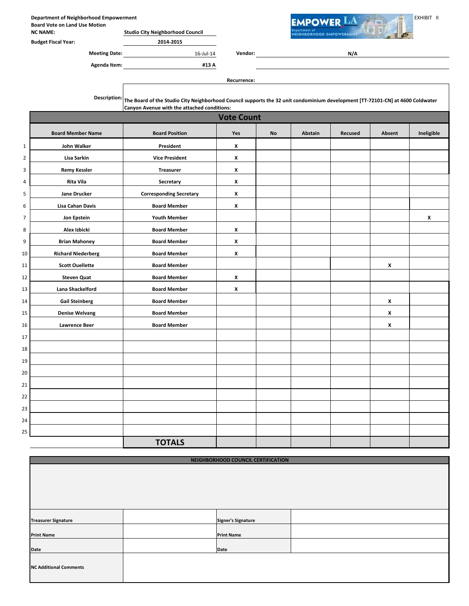Department of Neighborhood Empowerment Network Contact The Contact Technology of the Contact Technology of the EXHIBIT III Board Vote on Land Use Motion

NC NAME: Studio City Neighborhood Council

|  | ret Fiscal Year: |  |
|--|------------------|--|

| <b>Budget Fiscal Year:</b> |  |        |  | 2014-2015 |
|----------------------------|--|--------|--|-----------|
|                            |  | $\sim$ |  |           |

Agenda Item: #13 A

Meeting Date: 16-Jul-14 Vendor:

**EIGHBORHOOD EMPOWERMENT** 

N/A

Recurrence:

Description: The Board of the Studio City Neighborhood Council supports the 32 unit condominium development [TT-72101-CN] at 4600 Coldwater Canyon Avenue with the attached conditions:

|                | <b>Vote Count</b>         |                                |                |           |         |         |                |            |
|----------------|---------------------------|--------------------------------|----------------|-----------|---------|---------|----------------|------------|
|                | <b>Board Member Name</b>  | <b>Board Position</b>          | Yes            | <b>No</b> | Abstain | Recused | Absent         | Ineligible |
| $\mathbf 1$    | John Walker               | President                      | X              |           |         |         |                |            |
| $\overline{2}$ | Lisa Sarkin               | <b>Vice President</b>          | X              |           |         |         |                |            |
| 3              | <b>Remy Kessler</b>       | <b>Treasurer</b>               | X              |           |         |         |                |            |
| $\overline{a}$ | Rita Vila                 | Secretary                      | X              |           |         |         |                |            |
| 5              | <b>Jane Drucker</b>       | <b>Corresponding Secretary</b> | X              |           |         |         |                |            |
| 6              | <b>Lisa Cahan Davis</b>   | <b>Board Member</b>            | X              |           |         |         |                |            |
| $\overline{7}$ | Jon Epstein               | <b>Youth Member</b>            |                |           |         |         |                | X          |
| 8              | Alex Izbicki              | <b>Board Member</b>            | X              |           |         |         |                |            |
| 9              | <b>Brian Mahoney</b>      | <b>Board Member</b>            | $\pmb{\times}$ |           |         |         |                |            |
| 10             | <b>Richard Niederberg</b> | <b>Board Member</b>            | X              |           |         |         |                |            |
| 11             | <b>Scott Ouellette</b>    | <b>Board Member</b>            |                |           |         |         | $\pmb{\times}$ |            |
| 12             | <b>Steven Quat</b>        | <b>Board Member</b>            | X              |           |         |         |                |            |
| 13             | Lana Shackelford          | <b>Board Member</b>            | X              |           |         |         |                |            |
| 14             | <b>Gail Steinberg</b>     | <b>Board Member</b>            |                |           |         |         | $\pmb{\times}$ |            |
| 15             | <b>Denise Welvang</b>     | <b>Board Member</b>            |                |           |         |         | X              |            |
| 16             | <b>Lawrence Beer</b>      | <b>Board Member</b>            |                |           |         |         | $\pmb{\chi}$   |            |
| 17             |                           |                                |                |           |         |         |                |            |
| 18             |                           |                                |                |           |         |         |                |            |
| 19             |                           |                                |                |           |         |         |                |            |
| 20             |                           |                                |                |           |         |         |                |            |
| 21             |                           |                                |                |           |         |         |                |            |
| 22             |                           |                                |                |           |         |         |                |            |
| 23             |                           |                                |                |           |         |         |                |            |
| 24             |                           |                                |                |           |         |         |                |            |
| 25             |                           |                                |                |           |         |         |                |            |
|                |                           | <b>TOTALS</b>                  |                |           |         |         |                |            |

| NEIGHBORHOOD COUNCIL CERTIFICATION |  |                           |  |  |  |  |  |  |
|------------------------------------|--|---------------------------|--|--|--|--|--|--|
|                                    |  |                           |  |  |  |  |  |  |
|                                    |  |                           |  |  |  |  |  |  |
|                                    |  |                           |  |  |  |  |  |  |
|                                    |  |                           |  |  |  |  |  |  |
|                                    |  |                           |  |  |  |  |  |  |
|                                    |  |                           |  |  |  |  |  |  |
| <b>Treasurer Signature</b>         |  | <b>Signer's Signature</b> |  |  |  |  |  |  |
|                                    |  |                           |  |  |  |  |  |  |
| <b>Print Name</b>                  |  | <b>Print Name</b>         |  |  |  |  |  |  |
| <b>Date</b>                        |  | Date                      |  |  |  |  |  |  |
|                                    |  |                           |  |  |  |  |  |  |
| <b>NC Additional Comments</b>      |  |                           |  |  |  |  |  |  |
|                                    |  |                           |  |  |  |  |  |  |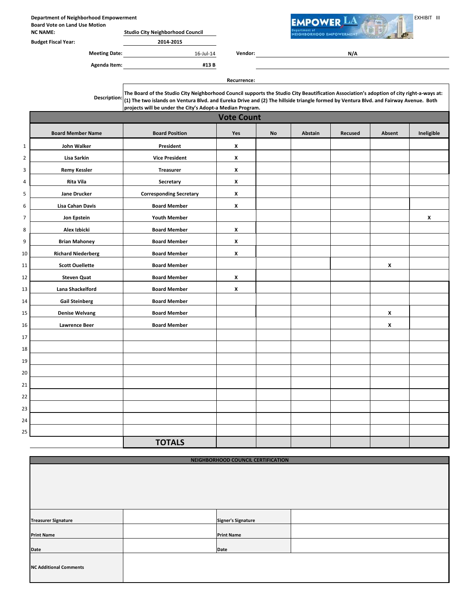Department of Neighborhood Empowerment EXHIBIT III and the Second Vote on Land Use MOWER LA THE EXHIBIT III Board Vote on Land Use Motion

NC NAME: Studio City Neighborhood Council Budget Fiscal Year: 2014-2015

Meeting Date: 16-Jul-14 Vendor:

| Agenda Item: | #13B |
|--------------|------|

N/A

**EIGHBORHOOD EMPOWERMENT** 

Recurrence:

Description: The Board of the Studio City Neighborhood Council supports the Studio City Beautification Association's adoption of city right-a-ways at: (1) The two islands on Ventura Blvd. and Eureka Drive and (2) The hillside triangle formed by Ventura Blvd. and Fairway Avenue. Both projects will be under the City's Adopt-a Median Program.

|                | <b>Vote Count</b>         |                                |                |           |         |         |                    |            |  |
|----------------|---------------------------|--------------------------------|----------------|-----------|---------|---------|--------------------|------------|--|
|                | <b>Board Member Name</b>  | <b>Board Position</b>          | Yes            | <b>No</b> | Abstain | Recused | Absent             | Ineligible |  |
| $\mathbf 1$    | <b>John Walker</b>        | President                      | X              |           |         |         |                    |            |  |
| $\overline{2}$ | Lisa Sarkin               | <b>Vice President</b>          | $\pmb{\times}$ |           |         |         |                    |            |  |
| 3              | <b>Remy Kessler</b>       | <b>Treasurer</b>               | X              |           |         |         |                    |            |  |
| $\overline{4}$ | <b>Rita Vila</b>          | Secretary                      | X              |           |         |         |                    |            |  |
| ${\mathsf 5}$  | Jane Drucker              | <b>Corresponding Secretary</b> | $\pmb{\times}$ |           |         |         |                    |            |  |
| 6              | <b>Lisa Cahan Davis</b>   | <b>Board Member</b>            | $\pmb{\times}$ |           |         |         |                    |            |  |
| $\overline{7}$ | Jon Epstein               | <b>Youth Member</b>            |                |           |         |         |                    | X          |  |
| 8              | Alex Izbicki              | <b>Board Member</b>            | X              |           |         |         |                    |            |  |
| 9              | <b>Brian Mahoney</b>      | <b>Board Member</b>            | X              |           |         |         |                    |            |  |
| 10             | <b>Richard Niederberg</b> | <b>Board Member</b>            | X              |           |         |         |                    |            |  |
| 11             | <b>Scott Ouellette</b>    | <b>Board Member</b>            |                |           |         |         | $\pmb{\mathsf{x}}$ |            |  |
| 12             | <b>Steven Quat</b>        | <b>Board Member</b>            | $\pmb{\times}$ |           |         |         |                    |            |  |
| 13             | Lana Shackelford          | <b>Board Member</b>            | X              |           |         |         |                    |            |  |
| 14             | <b>Gail Steinberg</b>     | <b>Board Member</b>            |                |           |         |         |                    |            |  |
| 15             | <b>Denise Welvang</b>     | <b>Board Member</b>            |                |           |         |         | X                  |            |  |
| 16             | <b>Lawrence Beer</b>      | <b>Board Member</b>            |                |           |         |         | $\pmb{\chi}$       |            |  |
| 17             |                           |                                |                |           |         |         |                    |            |  |
| 18             |                           |                                |                |           |         |         |                    |            |  |
| 19             |                           |                                |                |           |         |         |                    |            |  |
| 20             |                           |                                |                |           |         |         |                    |            |  |
| 21             |                           |                                |                |           |         |         |                    |            |  |
| 22             |                           |                                |                |           |         |         |                    |            |  |
| 23             |                           |                                |                |           |         |         |                    |            |  |
| 24             |                           |                                |                |           |         |         |                    |            |  |
| 25             |                           |                                |                |           |         |         |                    |            |  |
|                |                           | <b>TOTALS</b>                  |                |           |         |         |                    |            |  |

| NEIGHBORHOOD COUNCIL CERTIFICATION |  |                                                        |  |  |  |  |  |
|------------------------------------|--|--------------------------------------------------------|--|--|--|--|--|
|                                    |  |                                                        |  |  |  |  |  |
|                                    |  |                                                        |  |  |  |  |  |
|                                    |  |                                                        |  |  |  |  |  |
|                                    |  |                                                        |  |  |  |  |  |
|                                    |  |                                                        |  |  |  |  |  |
|                                    |  |                                                        |  |  |  |  |  |
|                                    |  |                                                        |  |  |  |  |  |
|                                    |  |                                                        |  |  |  |  |  |
|                                    |  |                                                        |  |  |  |  |  |
|                                    |  |                                                        |  |  |  |  |  |
|                                    |  |                                                        |  |  |  |  |  |
|                                    |  |                                                        |  |  |  |  |  |
|                                    |  |                                                        |  |  |  |  |  |
|                                    |  |                                                        |  |  |  |  |  |
|                                    |  |                                                        |  |  |  |  |  |
|                                    |  |                                                        |  |  |  |  |  |
|                                    |  |                                                        |  |  |  |  |  |
|                                    |  | <b>Signer's Signature</b><br><b>Print Name</b><br>Date |  |  |  |  |  |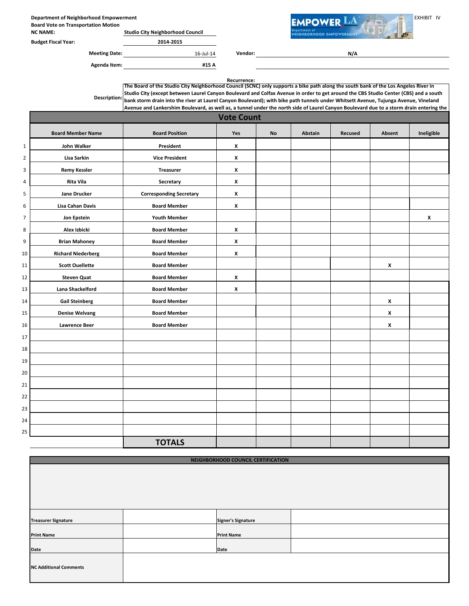Department of Neighborhood Empowerment<br>Board Vote on Transportation Motion Board Vote on Transportation Motion

| <b>NC NAME:</b>            | <b>Studio City Neighborhood Council</b> |
|----------------------------|-----------------------------------------|
| Providence Place IN a con- | 0.01100000                              |

Budget Fiscal Year: 2014-2015

Meeting Date: 16-Jul-14 Vendor: Agenda Item: #15 A

N/A

**EIGHBORHOOD EMPOWERMENT** 

Recurrence:

Description: The Board of the Studio City Neighborhood Council (SCNC) only supports a bike path along the south bank of the Los Angeles River in Studio City (except between Laurel Canyon Boulevard and Colfax Avenue in order to get around the CBS Studio Center (CBS) and a south bank storm drain into the river at Laurel Canyon Boulevard); with bike path tunnels under Whitsett Avenue, Tujunga Avenue, Vineland Avenue and Lankershim Boulevard, as well as, a tunnel under the north side of Laurel Canyon Boulevard due to a storm drain entering the

|                | <b>Vote Count</b>         |                                |                |           |         |         |        |              |
|----------------|---------------------------|--------------------------------|----------------|-----------|---------|---------|--------|--------------|
|                | <b>Board Member Name</b>  | <b>Board Position</b>          | Yes            | <b>No</b> | Abstain | Recused | Absent | Ineligible   |
| $1\,$          | John Walker               | President                      | X              |           |         |         |        |              |
| $\overline{2}$ | Lisa Sarkin               | <b>Vice President</b>          | X              |           |         |         |        |              |
| 3              | <b>Remy Kessler</b>       | <b>Treasurer</b>               | X              |           |         |         |        |              |
| $\overline{4}$ | Rita Vila                 | Secretary                      | X              |           |         |         |        |              |
| 5              | <b>Jane Drucker</b>       | <b>Corresponding Secretary</b> | $\pmb{\times}$ |           |         |         |        |              |
| 6              | <b>Lisa Cahan Davis</b>   | <b>Board Member</b>            | X              |           |         |         |        |              |
| $\overline{7}$ | Jon Epstein               | <b>Youth Member</b>            |                |           |         |         |        | $\pmb{\chi}$ |
| 8              | Alex Izbicki              | <b>Board Member</b>            | X              |           |         |         |        |              |
| 9              | <b>Brian Mahoney</b>      | <b>Board Member</b>            | $\pmb{\times}$ |           |         |         |        |              |
| 10             | <b>Richard Niederberg</b> | <b>Board Member</b>            | X              |           |         |         |        |              |
| 11             | <b>Scott Ouellette</b>    | <b>Board Member</b>            |                |           |         |         | X      |              |
| 12             | <b>Steven Quat</b>        | <b>Board Member</b>            | X              |           |         |         |        |              |
| 13             | Lana Shackelford          | <b>Board Member</b>            | X              |           |         |         |        |              |
| 14             | <b>Gail Steinberg</b>     | <b>Board Member</b>            |                |           |         |         | x      |              |
| 15             | <b>Denise Welvang</b>     | <b>Board Member</b>            |                |           |         |         | X      |              |
| 16             | <b>Lawrence Beer</b>      | <b>Board Member</b>            |                |           |         |         | X      |              |
| 17             |                           |                                |                |           |         |         |        |              |
| 18             |                           |                                |                |           |         |         |        |              |
| 19             |                           |                                |                |           |         |         |        |              |
| 20             |                           |                                |                |           |         |         |        |              |
| 21             |                           |                                |                |           |         |         |        |              |
| 22             |                           |                                |                |           |         |         |        |              |
| 23             |                           |                                |                |           |         |         |        |              |
| 24             |                           |                                |                |           |         |         |        |              |
| 25             |                           |                                |                |           |         |         |        |              |
|                |                           | <b>TOTALS</b>                  |                |           |         |         |        |              |

| NEIGHBORHOOD COUNCIL CERTIFICATION |  |                           |  |  |  |  |  |  |
|------------------------------------|--|---------------------------|--|--|--|--|--|--|
|                                    |  |                           |  |  |  |  |  |  |
|                                    |  |                           |  |  |  |  |  |  |
|                                    |  |                           |  |  |  |  |  |  |
|                                    |  |                           |  |  |  |  |  |  |
|                                    |  |                           |  |  |  |  |  |  |
|                                    |  |                           |  |  |  |  |  |  |
|                                    |  |                           |  |  |  |  |  |  |
| <b>Treasurer Signature</b>         |  | <b>Signer's Signature</b> |  |  |  |  |  |  |
|                                    |  |                           |  |  |  |  |  |  |
| <b>Print Name</b>                  |  | <b>Print Name</b>         |  |  |  |  |  |  |
|                                    |  |                           |  |  |  |  |  |  |
| Date                               |  | Date                      |  |  |  |  |  |  |
|                                    |  |                           |  |  |  |  |  |  |
| <b>NC Additional Comments</b>      |  |                           |  |  |  |  |  |  |
|                                    |  |                           |  |  |  |  |  |  |
|                                    |  |                           |  |  |  |  |  |  |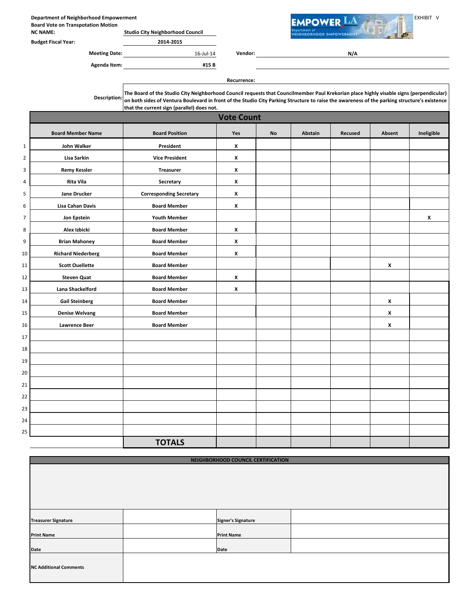Department of Neighborhood Empowerment<br>Board Vote on Transpotation Motion (Network) Network Change of The Communication of New York Change of The EXHIBIT V Board Vote on Transpotation Motion

NC NAME: Studio City Neighborhood Council

Budget Fiscal Year: 2014-2015

Meeting Date: 16-Jul-14 Vendor:

Agenda Item: #15 B

N/A

**EIGHBORHOOD EMPOWERMENT** 

Recurrence:

Description: The Board of the Studio City Neighborhood Council requests that Councilmember Paul Krekorian place highly visable signs (perpendicular) on both sides of Ventura Boulevard in front of the Studio City Parking Structure to raise the awareness of the parking structure's existence that the current sign (parallel) does not.

|                | <b>Vote Count</b>         |                                |                    |           |         |         |                    |            |  |
|----------------|---------------------------|--------------------------------|--------------------|-----------|---------|---------|--------------------|------------|--|
|                | <b>Board Member Name</b>  | <b>Board Position</b>          | Yes                | <b>No</b> | Abstain | Recused | Absent             | Ineligible |  |
| $\mathbf{1}$   | <b>John Walker</b>        | President                      | X                  |           |         |         |                    |            |  |
| $\mathbf 2$    | Lisa Sarkin               | <b>Vice President</b>          | $\pmb{\chi}$       |           |         |         |                    |            |  |
| 3              | <b>Remy Kessler</b>       | <b>Treasurer</b>               | $\pmb{\chi}$       |           |         |         |                    |            |  |
| 4              | Rita Vila                 | Secretary                      | X                  |           |         |         |                    |            |  |
| 5              | <b>Jane Drucker</b>       | <b>Corresponding Secretary</b> | $\pmb{\mathsf{x}}$ |           |         |         |                    |            |  |
| $\,6\,$        | <b>Lisa Cahan Davis</b>   | <b>Board Member</b>            | $\pmb{\mathsf{x}}$ |           |         |         |                    |            |  |
| $\overline{7}$ | Jon Epstein               | <b>Youth Member</b>            |                    |           |         |         |                    | X          |  |
| 8              | Alex Izbicki              | <b>Board Member</b>            | $\pmb{\chi}$       |           |         |         |                    |            |  |
| 9              | <b>Brian Mahoney</b>      | <b>Board Member</b>            | X                  |           |         |         |                    |            |  |
| 10             | <b>Richard Niederberg</b> | <b>Board Member</b>            | $\pmb{\chi}$       |           |         |         |                    |            |  |
| 11             | <b>Scott Ouellette</b>    | <b>Board Member</b>            |                    |           |         |         | $\pmb{\mathsf{x}}$ |            |  |
| 12             | <b>Steven Quat</b>        | <b>Board Member</b>            | $\pmb{\chi}$       |           |         |         |                    |            |  |
| 13             | Lana Shackelford          | <b>Board Member</b>            | $\pmb{\chi}$       |           |         |         |                    |            |  |
| $14\,$         | <b>Gail Steinberg</b>     | <b>Board Member</b>            |                    |           |         |         | $\pmb{\mathsf{x}}$ |            |  |
| 15             | <b>Denise Welvang</b>     | <b>Board Member</b>            |                    |           |         |         | X                  |            |  |
| 16             | <b>Lawrence Beer</b>      | <b>Board Member</b>            |                    |           |         |         | x                  |            |  |
| $17\,$         |                           |                                |                    |           |         |         |                    |            |  |
| 18             |                           |                                |                    |           |         |         |                    |            |  |
| 19             |                           |                                |                    |           |         |         |                    |            |  |
| 20             |                           |                                |                    |           |         |         |                    |            |  |
| 21             |                           |                                |                    |           |         |         |                    |            |  |
| 22             |                           |                                |                    |           |         |         |                    |            |  |
| 23             |                           |                                |                    |           |         |         |                    |            |  |
| 24             |                           |                                |                    |           |         |         |                    |            |  |
| 25             |                           |                                |                    |           |         |         |                    |            |  |
|                |                           | <b>TOTALS</b>                  |                    |           |         |         |                    |            |  |

| NEIGHBORHOOD COUNCIL CERTIFICATION |  |                           |  |  |
|------------------------------------|--|---------------------------|--|--|
|                                    |  |                           |  |  |
|                                    |  |                           |  |  |
|                                    |  |                           |  |  |
|                                    |  |                           |  |  |
|                                    |  |                           |  |  |
|                                    |  |                           |  |  |
|                                    |  |                           |  |  |
| <b>Treasurer Signature</b>         |  | <b>Signer's Signature</b> |  |  |
|                                    |  |                           |  |  |
| <b>Print Name</b>                  |  | <b>Print Name</b>         |  |  |
|                                    |  |                           |  |  |
| Date                               |  | Date                      |  |  |
|                                    |  |                           |  |  |
| <b>NC Additional Comments</b>      |  |                           |  |  |
|                                    |  |                           |  |  |
|                                    |  |                           |  |  |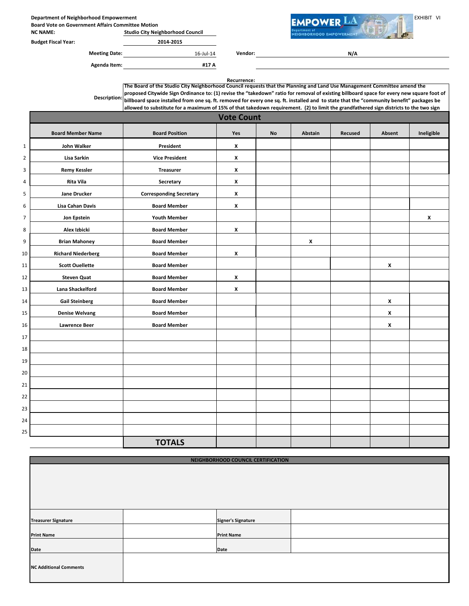Department of Neighborhood Empowerment<br>Board Vote on Government Affairs Committee Motion

Board Vote on Government Affairs Committee Motion NC NAME: Studio City Neighborhood Council



Meeting Date: 16-Jul-14 Vendor:

Agenda Item: #17 A

N/A

EIGHBORHOOD EMPOWERMENT

Recurrence: proposed Citywide Sign Ordinance to: (1) revise the "takedown" ratio for removal of existing billboard space for every new square foot of (1) revise the "takedown" ratio for removal of existing billboard space for every ne The Board of the Studio City Neighborhood Council requests that the Planning and Land Use Management Committee amend the billboard space installed from one sq. ft. removed for every one sq. ft. installed and to state that the "community benefit" packages be allowed to substitute for a maximum of 15% of that takedown requirement. (2) to limit the grandfathered sign districts to the two sign

|                  |                           |                                | <b>Vote Count</b> |           |              |         |                    |                    |
|------------------|---------------------------|--------------------------------|-------------------|-----------|--------------|---------|--------------------|--------------------|
|                  | <b>Board Member Name</b>  | <b>Board Position</b>          | Yes               | <b>No</b> | Abstain      | Recused | Absent             | Ineligible         |
| $\mathbf 1$      | <b>John Walker</b>        | President                      | X                 |           |              |         |                    |                    |
| $\overline{2}$   | Lisa Sarkin               | <b>Vice President</b>          | X                 |           |              |         |                    |                    |
| 3                | <b>Remy Kessler</b>       | <b>Treasurer</b>               | X                 |           |              |         |                    |                    |
| $\overline{a}$   | Rita Vila                 | Secretary                      | X                 |           |              |         |                    |                    |
| 5                | <b>Jane Drucker</b>       | <b>Corresponding Secretary</b> | X                 |           |              |         |                    |                    |
| 6                | Lisa Cahan Davis          | <b>Board Member</b>            | X                 |           |              |         |                    |                    |
| $\boldsymbol{7}$ | Jon Epstein               | <b>Youth Member</b>            |                   |           |              |         |                    | $\pmb{\mathsf{x}}$ |
| 8                | Alex Izbicki              | <b>Board Member</b>            | X                 |           |              |         |                    |                    |
| 9                | <b>Brian Mahoney</b>      | <b>Board Member</b>            |                   |           | $\pmb{\chi}$ |         |                    |                    |
| 10               | <b>Richard Niederberg</b> | <b>Board Member</b>            | X                 |           |              |         |                    |                    |
| 11               | <b>Scott Ouellette</b>    | <b>Board Member</b>            |                   |           |              |         | $\pmb{\mathsf{x}}$ |                    |
| 12               | <b>Steven Quat</b>        | <b>Board Member</b>            | X                 |           |              |         |                    |                    |
| 13               | Lana Shackelford          | <b>Board Member</b>            | X                 |           |              |         |                    |                    |
| 14               | <b>Gail Steinberg</b>     | <b>Board Member</b>            |                   |           |              |         | X                  |                    |
| 15               | <b>Denise Welvang</b>     | <b>Board Member</b>            |                   |           |              |         | X                  |                    |
| 16               | <b>Lawrence Beer</b>      | <b>Board Member</b>            |                   |           |              |         | x                  |                    |
| 17               |                           |                                |                   |           |              |         |                    |                    |
| 18               |                           |                                |                   |           |              |         |                    |                    |
| 19               |                           |                                |                   |           |              |         |                    |                    |
| 20               |                           |                                |                   |           |              |         |                    |                    |
| 21               |                           |                                |                   |           |              |         |                    |                    |
| 22               |                           |                                |                   |           |              |         |                    |                    |
| 23               |                           |                                |                   |           |              |         |                    |                    |
| 24               |                           |                                |                   |           |              |         |                    |                    |
| 25               |                           |                                |                   |           |              |         |                    |                    |
|                  |                           | <b>TOTALS</b>                  |                   |           |              |         |                    |                    |

| NEIGHBORHOOD COUNCIL CERTIFICATION |  |                           |  |  |
|------------------------------------|--|---------------------------|--|--|
|                                    |  |                           |  |  |
|                                    |  |                           |  |  |
|                                    |  |                           |  |  |
|                                    |  |                           |  |  |
|                                    |  |                           |  |  |
|                                    |  |                           |  |  |
|                                    |  |                           |  |  |
| <b>Treasurer Signature</b>         |  | <b>Signer's Signature</b> |  |  |
| <b>Print Name</b>                  |  | <b>Print Name</b>         |  |  |
|                                    |  |                           |  |  |
| Date                               |  | Date                      |  |  |
|                                    |  |                           |  |  |
| <b>NC Additional Comments</b>      |  |                           |  |  |
|                                    |  |                           |  |  |
|                                    |  |                           |  |  |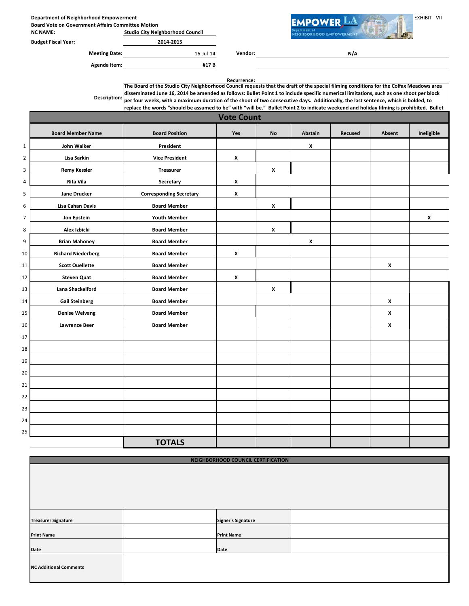Department of Neighborhood Empowerment<br>Board Vote on Government Affairs Committee Motion

Board Vote on Government Affairs Committee Motion NC NAME: Studio City Neighborhood Council

| <b>Budget Fiscal Year:</b> |  |
|----------------------------|--|

2014-2015 Meeting Date:  $16$ -Jul-14 Vendor: **EIGHBORHOOD EMPOWERMENT** 

N/A

Agenda Item: #17 B

Recurrence: Board Member Name | Board Position | Yes | No | Abstain | Recused | Absent | Ineligible 1 John Walker **President** President **New York Constructs** 2 Lisa Sarkin Vice President X 3 Remy Kessler **Treasurer** Treasurer X 4 **Rita Vila** Rita Vila **Network Constructs Constructs Constructs** Constructs **Constructs** Constructs Construct Constructs Construct Constructs Construct Constructs Construct Constructs Construct Constructs Construct Const Vote Count Description: The Board of the Studio City Neighborhood Council requests that the draft of the special filming conditions for the Colfax Meadows area disseminated June 16, 2014 be amended as follows: Bullet Point 1 to include specific numerical limitations, such as one shoot per block per four weeks, with a maximum duration of the shoot of two consecutive days. Additionally, the last sentence, which is bolded, to replace the words "should be assumed to be" with "will be." Bullet Point 2 to indicate weekend and holiday filming is prohibited. Bullet

| 4              | кіта viia                 | secretary                      | $\lambda$    |                    |                    |                    |                    |
|----------------|---------------------------|--------------------------------|--------------|--------------------|--------------------|--------------------|--------------------|
| 5              | <b>Jane Drucker</b>       | <b>Corresponding Secretary</b> | X            |                    |                    |                    |                    |
| 6              | Lisa Cahan Davis          | <b>Board Member</b>            |              | $\pmb{\mathsf{x}}$ |                    |                    |                    |
| $\overline{7}$ | Jon Epstein               | <b>Youth Member</b>            |              |                    |                    |                    | $\pmb{\mathsf{x}}$ |
| 8              | Alex Izbicki              | <b>Board Member</b>            |              | $\pmb{\chi}$       |                    |                    |                    |
| 9              | <b>Brian Mahoney</b>      | <b>Board Member</b>            |              |                    | $\pmb{\mathsf{x}}$ |                    |                    |
| 10             | <b>Richard Niederberg</b> | <b>Board Member</b>            | $\pmb{\chi}$ |                    |                    |                    |                    |
| 11             | <b>Scott Ouellette</b>    | <b>Board Member</b>            |              |                    |                    | X                  |                    |
| 12             | <b>Steven Quat</b>        | <b>Board Member</b>            | $\pmb{\chi}$ |                    |                    |                    |                    |
| 13             | Lana Shackelford          | <b>Board Member</b>            |              | $\pmb{\chi}$       |                    |                    |                    |
| 14             | <b>Gail Steinberg</b>     | <b>Board Member</b>            |              |                    |                    | $\pmb{\mathsf{x}}$ |                    |
| 15             | <b>Denise Welvang</b>     | <b>Board Member</b>            |              |                    |                    | X                  |                    |
| 16             | <b>Lawrence Beer</b>      | <b>Board Member</b>            |              |                    |                    | $\pmb{\mathsf{x}}$ |                    |
| 17             |                           |                                |              |                    |                    |                    |                    |
| 18             |                           |                                |              |                    |                    |                    |                    |
| 19             |                           |                                |              |                    |                    |                    |                    |
| 20             |                           |                                |              |                    |                    |                    |                    |
| 21             |                           |                                |              |                    |                    |                    |                    |
| 22             |                           |                                |              |                    |                    |                    |                    |
| 23             |                           |                                |              |                    |                    |                    |                    |
| 24             |                           |                                |              |                    |                    |                    |                    |
| 25             |                           |                                |              |                    |                    |                    |                    |
|                |                           | <b>TOTALS</b>                  |              |                    |                    |                    |                    |

| NEIGHBORHOOD COUNCIL CERTIFICATION |  |                           |  |  |  |
|------------------------------------|--|---------------------------|--|--|--|
|                                    |  |                           |  |  |  |
|                                    |  |                           |  |  |  |
| <b>Treasurer Signature</b>         |  | <b>Signer's Signature</b> |  |  |  |
| <b>Print Name</b>                  |  | <b>Print Name</b>         |  |  |  |
| Date                               |  | Date                      |  |  |  |
| <b>NC Additional Comments</b>      |  |                           |  |  |  |